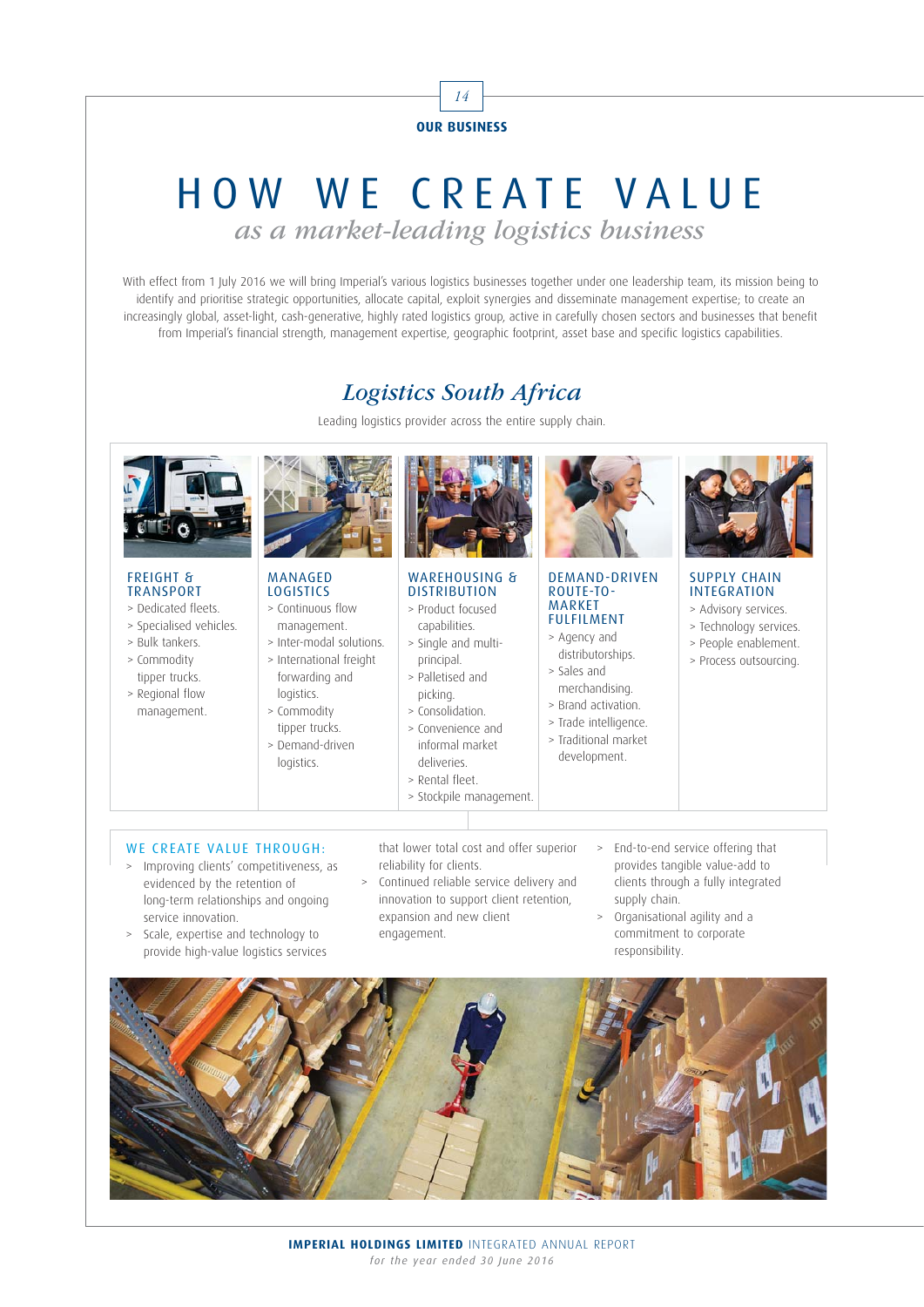

# HOW WE CREATE VALUE as a market-leading logistics business

With effect from 1 July 2016 we will bring Imperial's various logistics businesses together under one leadership team, its mission being to identify and prioritise strategic opportunities, allocate capital, exploit synergies and disseminate management expertise; to create an increasingly global, asset-light, cash-generative, highly rated logistics group, active in carefully chosen sectors and businesses that benefit from Imperial's financial strength, management expertise, geographic footprint, asset base and specific logistics capabilities.

### Logistics South Africa

Leading logistics provider across the entire supply chain.



#### FREIGHT & TRANSPORT

- > Dedicated fleets.
- > Specialised vehicles.
- > Bulk tankers.
- > Commodity tipper trucks.
- > Regional flow management.



#### MANAGED LOGISTICS

- > Continuous flow management.
- > Inter-modal solutions. > International freight
	- forwarding and logistics.
	- > Commodity tipper trucks.
	- > Demand-driven logistics.



#### WARFHOUSING & **DISTRIBUTION**

- > Product focused capabilities. > Single and multi-
- principal.
- > Palletised and picking.
- > Consolidation.
	- > Convenience and informal market deliveries.
	- > Rental fleet.
	- > Stockpile management.



#### DEMAND-DRIVEN ROUTE-TO-MARKET FULFILMENT

- > Agency and distributorships.
- > Sales and merchandising.
- > Brand activation.
- > Trade intelligence.
- > Traditional market development.



#### SUPPLY CHAIN INTEGRATION

- > Advisory services.
- > Technology services.
- > People enablement.
- > Process outsourcing.

- WE CREATE VALUE THROUGH:
- > Improving clients' competitiveness, as evidenced by the retention of long-term relationships and ongoing service innovation.
- > Scale, expertise and technology to provide high-value logistics services

that lower total cost and offer superior reliability for clients.

- > Continued reliable service delivery and innovation to support client retention, expansion and new client engagement.
- > End-to-end service offering that provides tangible value-add to clients through a fully integrated supply chain.
- > Organisational agility and a commitment to corporate responsibility.